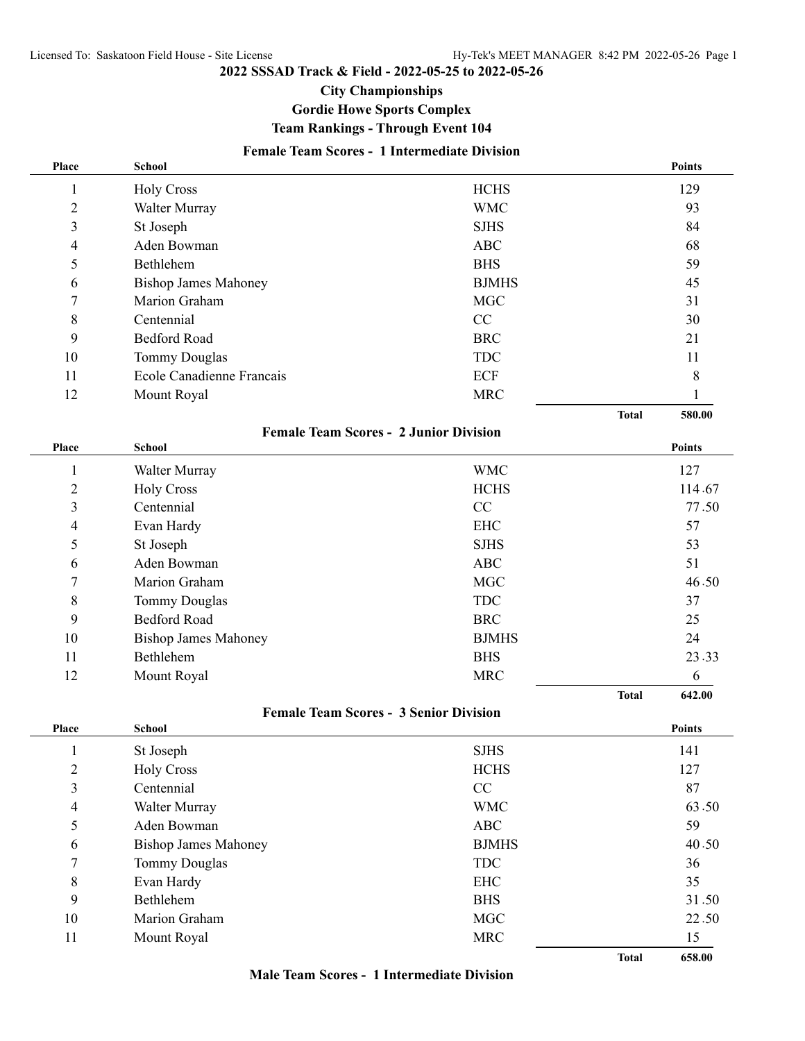#### **2022 SSSAD Track & Field - 2022-05-25 to 2022-05-26**

### **City Championships**

## **Gordie Howe Sports Complex**

## **Team Rankings - Through Event 104**

## **Female Team Scores - 1 Intermediate Division**

| Place          | <b>School</b>               |                                               |              | <b>Points</b> |
|----------------|-----------------------------|-----------------------------------------------|--------------|---------------|
| 1              | <b>Holy Cross</b>           | <b>HCHS</b>                                   |              | 129           |
| $\overline{2}$ | Walter Murray               | <b>WMC</b>                                    |              | 93            |
| 3              | St Joseph                   | <b>SJHS</b>                                   |              | 84            |
| 4              | Aden Bowman                 | <b>ABC</b>                                    |              | 68            |
| 5              | Bethlehem                   | <b>BHS</b>                                    | 59           |               |
| 6              | <b>Bishop James Mahoney</b> | <b>BJMHS</b>                                  |              | 45            |
| 7              | Marion Graham               | <b>MGC</b>                                    | 31           |               |
| 8              | Centennial                  | CC                                            | 30           |               |
| 9              | <b>Bedford Road</b>         | <b>BRC</b>                                    | 21           |               |
| 10             | <b>Tommy Douglas</b>        | <b>TDC</b>                                    | 11           |               |
| 11             | Ecole Canadienne Francais   | ECF                                           |              | 8             |
| 12             | Mount Royal                 | <b>MRC</b>                                    |              | 1             |
|                |                             |                                               | <b>Total</b> | 580.00        |
|                |                             | <b>Female Team Scores - 2 Junior Division</b> |              |               |
| Place          | <b>School</b>               |                                               |              | Points        |
| 1              | Walter Murray               | <b>WMC</b>                                    |              | 127           |
| 2              | <b>Holy Cross</b>           | <b>HCHS</b>                                   |              | 114.67        |
| 3              | Centennial                  | CC                                            |              | 77.50         |
| 4              | Evan Hardy                  | <b>EHC</b>                                    |              | 57            |
| 5              | St Joseph                   | <b>SJHS</b>                                   |              | 53            |
| 6              | Aden Bowman                 | <b>ABC</b>                                    |              | 51            |
| 7              | Marion Graham               | <b>MGC</b>                                    |              | 46.50         |
| 8              | <b>Tommy Douglas</b>        | <b>TDC</b>                                    |              | 37            |
| 9              | <b>Bedford Road</b>         | <b>BRC</b>                                    |              | 25            |
| 10             | <b>Bishop James Mahoney</b> | <b>BJMHS</b>                                  |              | 24            |
| 11             | Bethlehem                   | <b>BHS</b>                                    |              | 23.33         |
| 12             | Mount Royal                 | <b>MRC</b>                                    |              | 6             |
|                |                             |                                               | <b>Total</b> | 642.00        |
|                |                             | <b>Female Team Scores - 3 Senior Division</b> |              |               |
| Place          | <b>School</b>               |                                               |              | <b>Points</b> |
| $\mathbf{1}$   | St Joseph                   | <b>SJHS</b>                                   |              | 141           |
| $\overline{c}$ | <b>Holy Cross</b>           | <b>HCHS</b>                                   |              | 127           |
| 3              | Centennial                  | $\rm CC$                                      |              | 87            |
| 4              | Walter Murray               | <b>WMC</b>                                    |              | 63.50         |
| 5              | Aden Bowman                 | <b>ABC</b>                                    |              | 59            |
| 6              | <b>Bishop James Mahoney</b> | <b>BJMHS</b>                                  |              | 40.50         |
| 7              | Tommy Douglas               | <b>TDC</b>                                    |              | 36            |
| 8              | Evan Hardy                  | <b>EHC</b>                                    |              | 35            |
| 9              | Bethlehem                   | <b>BHS</b>                                    |              | 31.50         |
| 10             | Marion Graham               | <b>MGC</b>                                    |              | 22.50         |
| 11             | Mount Royal                 | $\operatorname{MRC}$                          |              | 15            |
|                |                             |                                               | <b>Total</b> | 658.00        |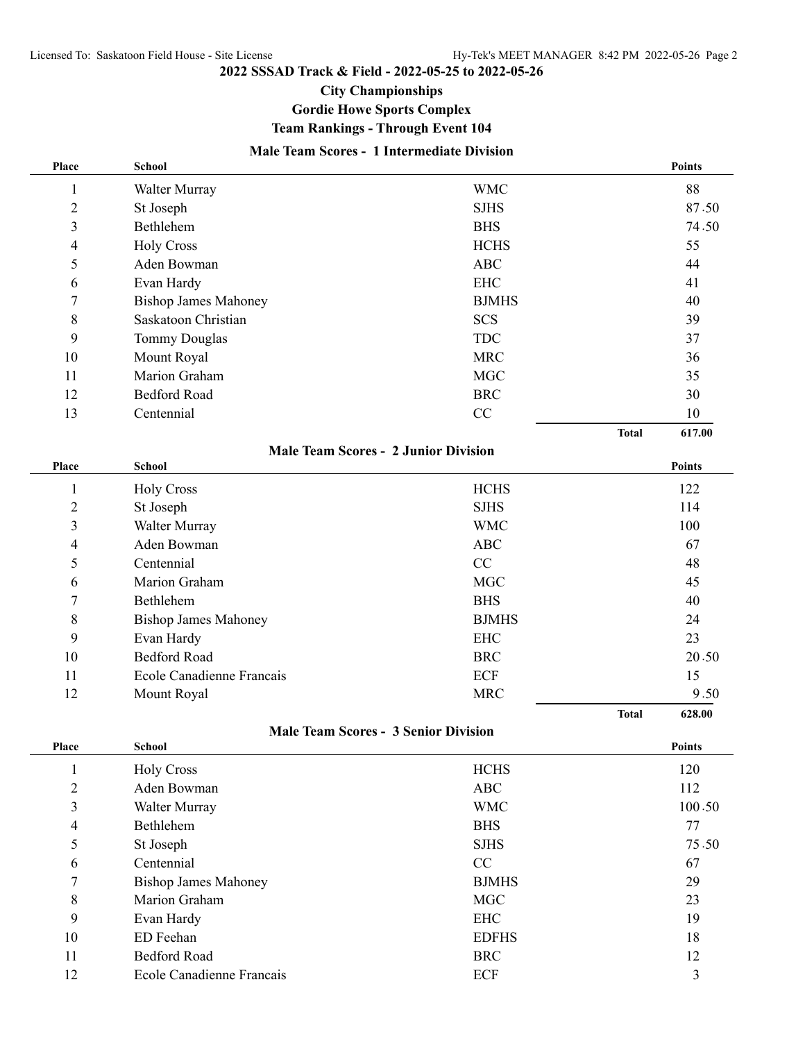#### **2022 SSSAD Track & Field - 2022-05-25 to 2022-05-26**

### **City Championships**

## **Gordie Howe Sports Complex**

**Team Rankings - Through Event 104**

### **Male Team Scores - 1 Intermediate Division**

| Place                   | <b>School</b>               |                                             |              | <b>Points</b> |
|-------------------------|-----------------------------|---------------------------------------------|--------------|---------------|
| 1                       | Walter Murray               | <b>WMC</b>                                  |              | 88            |
| $\overline{2}$          | St Joseph                   | <b>SJHS</b>                                 |              | 87.50         |
| $\overline{\mathbf{3}}$ | Bethlehem                   | <b>BHS</b>                                  | 74.50        |               |
| 4                       | <b>Holy Cross</b>           | <b>HCHS</b>                                 | 55           |               |
| 5                       | Aden Bowman                 | ABC                                         | 44           |               |
| 6                       | Evan Hardy                  | <b>EHC</b>                                  | 41           |               |
| 7                       | <b>Bishop James Mahoney</b> | <b>BJMHS</b>                                | 40           |               |
| 8                       | Saskatoon Christian         | <b>SCS</b>                                  | 39           |               |
| 9                       | <b>Tommy Douglas</b>        | <b>TDC</b>                                  | 37           |               |
| 10                      | Mount Royal                 | <b>MRC</b>                                  |              | 36            |
| 11                      | Marion Graham               | <b>MGC</b>                                  |              | 35            |
| 12                      | <b>Bedford Road</b>         | <b>BRC</b>                                  |              | 30            |
| 13                      | Centennial                  | CC                                          |              | 10            |
|                         |                             |                                             | <b>Total</b> | 617.00        |
|                         |                             | <b>Male Team Scores - 2 Junior Division</b> |              |               |
| Place                   | <b>School</b>               |                                             |              | <b>Points</b> |
| $\mathbf{1}$            | <b>Holy Cross</b>           | <b>HCHS</b>                                 |              | 122           |
| $\overline{2}$          | St Joseph                   | <b>SJHS</b>                                 |              | 114           |
| $\overline{\mathbf{3}}$ | Walter Murray               | <b>WMC</b>                                  |              | 100           |
| 4                       | Aden Bowman                 | <b>ABC</b>                                  |              | 67            |
| 5                       | Centennial                  | CC                                          |              | 48            |
| 6                       | Marion Graham               | <b>MGC</b>                                  |              | 45            |
| $\overline{7}$          | Bethlehem                   | <b>BHS</b>                                  |              | 40            |
| 8                       | <b>Bishop James Mahoney</b> | <b>BJMHS</b>                                |              | 24            |
| 9                       | Evan Hardy                  | <b>EHC</b>                                  |              | 23            |
| 10                      | <b>Bedford Road</b>         | <b>BRC</b>                                  |              | 20.50         |
| 11                      | Ecole Canadienne Francais   | ECF                                         |              | 15            |
| 12                      | Mount Royal                 | <b>MRC</b>                                  |              | 9.50          |
|                         |                             |                                             | <b>Total</b> | 628.00        |

**Male Team Scores - 3 Senior Division**

| Place          | <b>School</b>               |              | <b>Points</b> |
|----------------|-----------------------------|--------------|---------------|
|                | <b>Holy Cross</b>           | <b>HCHS</b>  | 120           |
| $\overline{2}$ | Aden Bowman                 | <b>ABC</b>   | 112           |
| 3              | Walter Murray               | <b>WMC</b>   | 100.50        |
| 4              | Bethlehem                   | <b>BHS</b>   | 77            |
| 5              | St Joseph                   | <b>SJHS</b>  | 75.50         |
| 6              | Centennial                  | CC           | 67            |
| 7              | <b>Bishop James Mahoney</b> | <b>BJMHS</b> | 29            |
| 8              | Marion Graham               | <b>MGC</b>   | 23            |
| 9              | Evan Hardy                  | <b>EHC</b>   | 19            |
| 10             | ED Feehan                   | <b>EDFHS</b> | 18            |
| 11             | <b>Bedford Road</b>         | <b>BRC</b>   | 12            |
| 12             | Ecole Canadienne Francais   | ECF          | 3             |